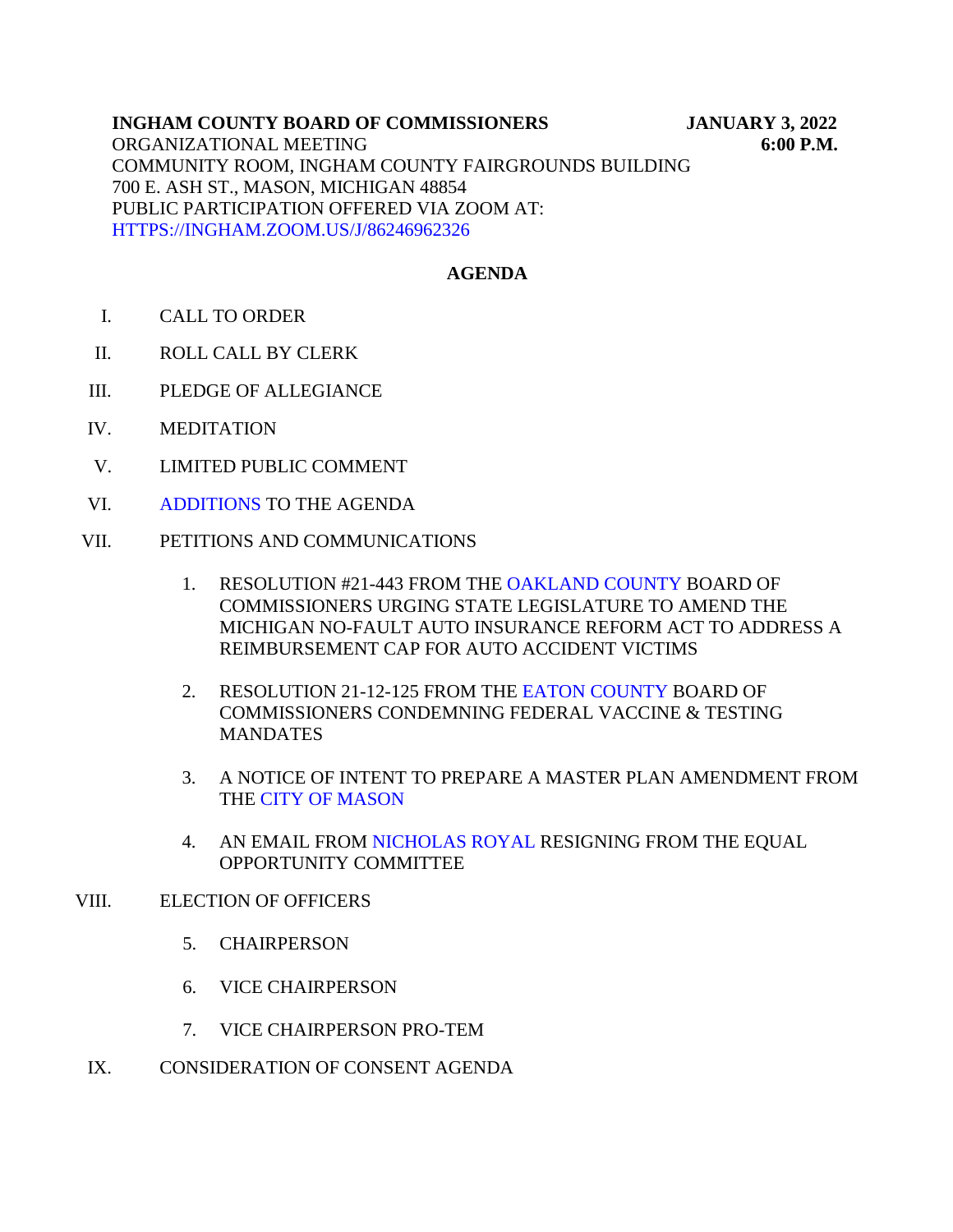#### **JANUARY 3, 2022 6:00 P.M. INGHAM COUNTY BOARD OF COMMISSIONERS** ORGANIZATIONAL MEETING COMMUNITY ROOM, INGHAM COUNTY FAIRGROUNDS BUILDING 700 E. ASH ST., MASON, MICHIGAN 48854 PUBLIC PARTICIPATION OFFERED VIA ZOOM AT: [HTTPS://INGHAM.ZOOM.US/J/86246962326](https://ingham.zoom.us/J/86246962326)

## **AGENDA**

- I. CALL TO ORDER
- II. ROLL CALL BY CLERK
- III. PLEDGE OF ALLEGIANCE
- IV. MEDITATION
- V. LIMITED PUBLIC COMMENT
- VI. [ADDITIONS TO THE](#page-17-0) AGENDA
- VII. PETITIONS AND COMMUNICATIONS
	- 1. RESOLUTION #21-443 FROM [THE OAKLAND COUNTY BOARD](#page-3-0) OF COMMISSIONERS URGING STATE LEGISLATURE TO AMEND THE MICHIGAN NO-FAULT AUTO INSURANCE REFORM ACT TO ADDRESS A REIMBURSEMENT CAP FOR AUTO ACCIDENT VICTIMS
	- 2. RESOLUTION 21-12-125 FROM T[HE EATON COUNTY BOARD](#page-6-0) OF COMMISSIONERS CONDEMNING FEDERAL VACCINE & TESTING MANDATES
	- 3. A [NOTICE OF INTENT TO PREP](#page-8-0)ARE A MASTER PLAN AMENDMENT FROM THE CITY OF MASON
	- 4. AN EMAIL FRO[M NICHOLAS ROYAL RESIGN](#page-9-0)ING FROM THE EQUAL OPPORTUNITY COMMITTEE

### VIII. ELECTION OF OFFICERS

- 5. CHAIRPERSON
- 6. VICE CHAIRPERSON
- 7. VICE CHAIRPERSON PRO-TEM
- IX. CONSIDERATION OF CONSENT AGENDA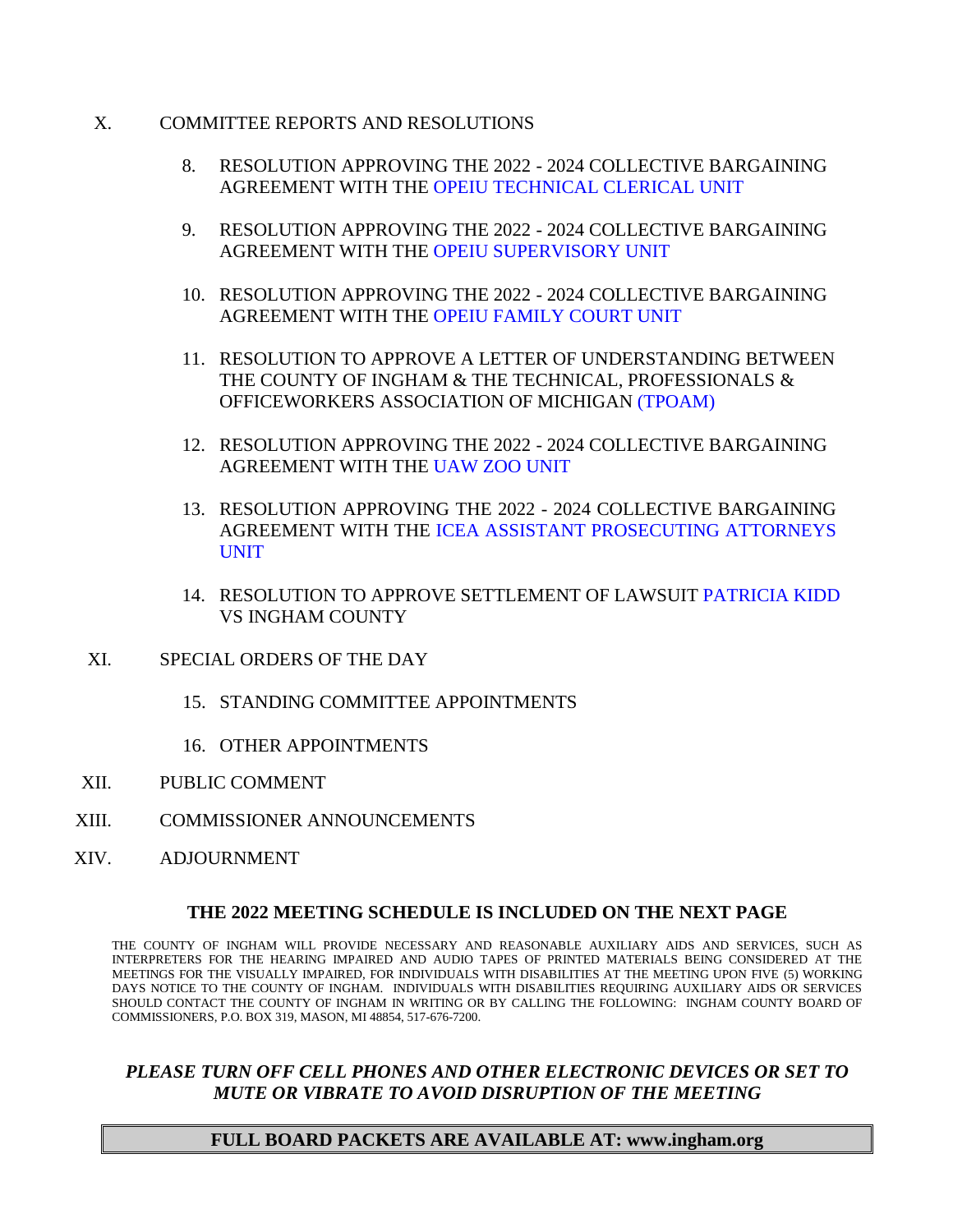- X. COMMITTEE REPORTS AND RESOLUTIONS
	- 8. RESOLUTION APPRO[VING THE 2022 2024 COLLECTIVE BARGAI](#page-10-0)NING AGREEMENT WITH THE OPEIU TECHNICAL CLERICAL UNIT
	- 9. RESOLUTION APPROVING THE 2022 2024 COLLECTIVE BARGAINING AGREEMENT WITH T[HE OPEIU SUPERVISORY UNIT](#page-11-0)
	- 10. RESOLUTION APPROVING THE 2022 2024 COLLECTIVE BARGAINING AGREEMENT WITH T[HE OPEIU FAMILY COURT UNIT](#page-12-0)
	- 11. RESOLUTION TO APPROVE A LETTER OF UNDERSTANDING BETWEEN THE COUNTY OF INGHAM & THE TECHNIC[AL, PROFESSIONAL](#page-13-0)S & OFFICEWORKERS ASSOCIATION OF MICHIGAN (TPOAM)
	- 12. RESOLUTION APPROVING THE 2022 2024 COLLECTIVE BARGAINING AGREEMENT WITH T[HE UAW ZOO UNIT](#page-14-0)
	- 13. RESOLUTION APPROVING THE 2022 2024 COLLECTIVE BARGAINING [AGREEMENT WITH THE ICEA ASSISTANT PROSECUTING ATTORNEYS](#page-15-0) UNIT
	- 14. RESOLUTION TO APPROVE SETTLEMENT OF LAW[SUIT PATRICIA KIDD](#page-16-0) VS INGHAM COUNTY
- XI. SPECIAL ORDERS OF THE DAY
	- 15. STANDING COMMITTEE APPOINTMENTS
	- 16. OTHER APPOINTMENTS
- XII. PUBLIC COMMENT
- XIII. COMMISSIONER ANNOUNCEMENTS
- XIV. ADJOURNMENT

### **THE 2022 MEETING SCHEDULE IS INCLUDED ON THE NEXT PAGE**

THE COUNTY OF INGHAM WILL PROVIDE NECESSARY AND REASONABLE AUXILIARY AIDS AND SERVICES, SUCH AS INTERPRETERS FOR THE HEARING IMPAIRED AND AUDIO TAPES OF PRINTED MATERIALS BEING CONSIDERED AT THE MEETINGS FOR THE VISUALLY IMPAIRED, FOR INDIVIDUALS WITH DISABILITIES AT THE MEETING UPON FIVE (5) WORKING DAYS NOTICE TO THE COUNTY OF INGHAM. INDIVIDUALS WITH DISABILITIES REQUIRING AUXILIARY AIDS OR SERVICES SHOULD CONTACT THE COUNTY OF INGHAM IN WRITING OR BY CALLING THE FOLLOWING: INGHAM COUNTY BOARD OF COMMISSIONERS, P.O. BOX 319, MASON, MI 48854, 517-676-7200.

## *PLEASE TURN OFF CELL PHONES AND OTHER ELECTRONIC DEVICES OR SET TO MUTE OR VIBRATE TO AVOID DISRUPTION OF THE MEETING*

### **FULL BOARD PACKETS ARE AVAILABLE AT: www.ingham.org**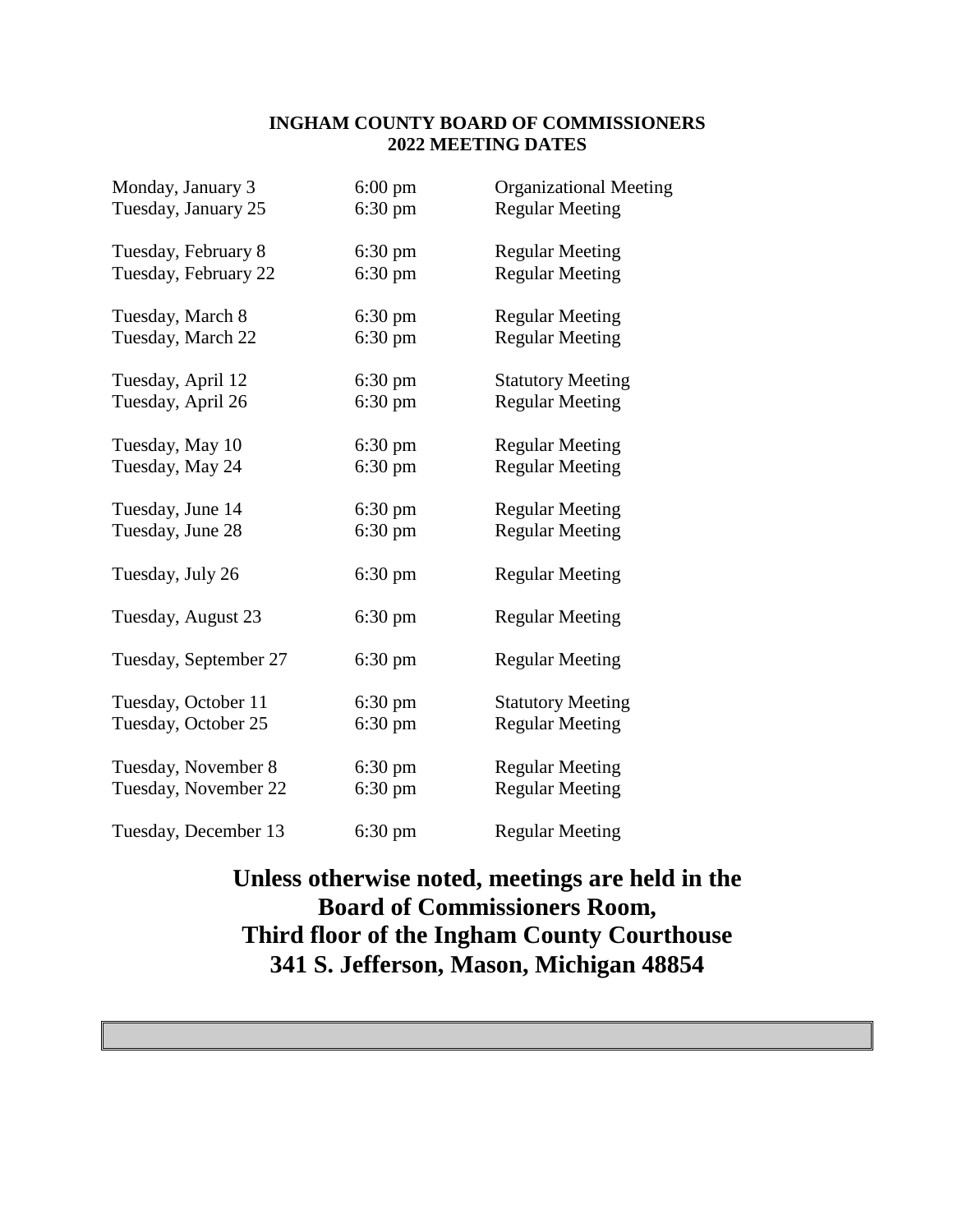### **INGHAM COUNTY BOARD OF COMMISSIONERS 2022 MEETING DATES**

| Monday, January 3     | $6:00 \text{ pm}$ | <b>Organizational Meeting</b> |
|-----------------------|-------------------|-------------------------------|
| Tuesday, January 25   | $6:30 \text{ pm}$ | <b>Regular Meeting</b>        |
| Tuesday, February 8   | $6:30 \text{ pm}$ | <b>Regular Meeting</b>        |
| Tuesday, February 22  | $6:30 \text{ pm}$ | <b>Regular Meeting</b>        |
| Tuesday, March 8      | $6:30 \text{ pm}$ | <b>Regular Meeting</b>        |
| Tuesday, March 22     | $6:30 \text{ pm}$ | <b>Regular Meeting</b>        |
| Tuesday, April 12     | $6:30 \text{ pm}$ | <b>Statutory Meeting</b>      |
| Tuesday, April 26     | $6:30 \text{ pm}$ | <b>Regular Meeting</b>        |
| Tuesday, May 10       | $6:30 \text{ pm}$ | <b>Regular Meeting</b>        |
| Tuesday, May 24       | $6:30 \text{ pm}$ | <b>Regular Meeting</b>        |
| Tuesday, June 14      | $6:30 \text{ pm}$ | <b>Regular Meeting</b>        |
| Tuesday, June 28      | $6:30 \text{ pm}$ | <b>Regular Meeting</b>        |
| Tuesday, July 26      | $6:30 \text{ pm}$ | <b>Regular Meeting</b>        |
| Tuesday, August 23    | $6:30 \text{ pm}$ | <b>Regular Meeting</b>        |
| Tuesday, September 27 | $6:30 \text{ pm}$ | <b>Regular Meeting</b>        |
| Tuesday, October 11   | $6:30 \text{ pm}$ | <b>Statutory Meeting</b>      |
| Tuesday, October 25   | 6:30 pm           | <b>Regular Meeting</b>        |
| Tuesday, November 8   | $6:30 \text{ pm}$ | <b>Regular Meeting</b>        |
| Tuesday, November 22  | $6:30 \text{ pm}$ | <b>Regular Meeting</b>        |
| Tuesday, December 13  | $6:30 \text{ pm}$ | <b>Regular Meeting</b>        |

# **Unless otherwise noted, meetings are held in the Board of Commissioners Room, Third floor of the Ingham County Courthouse 341 S. Jefferson, Mason, Michigan 48854**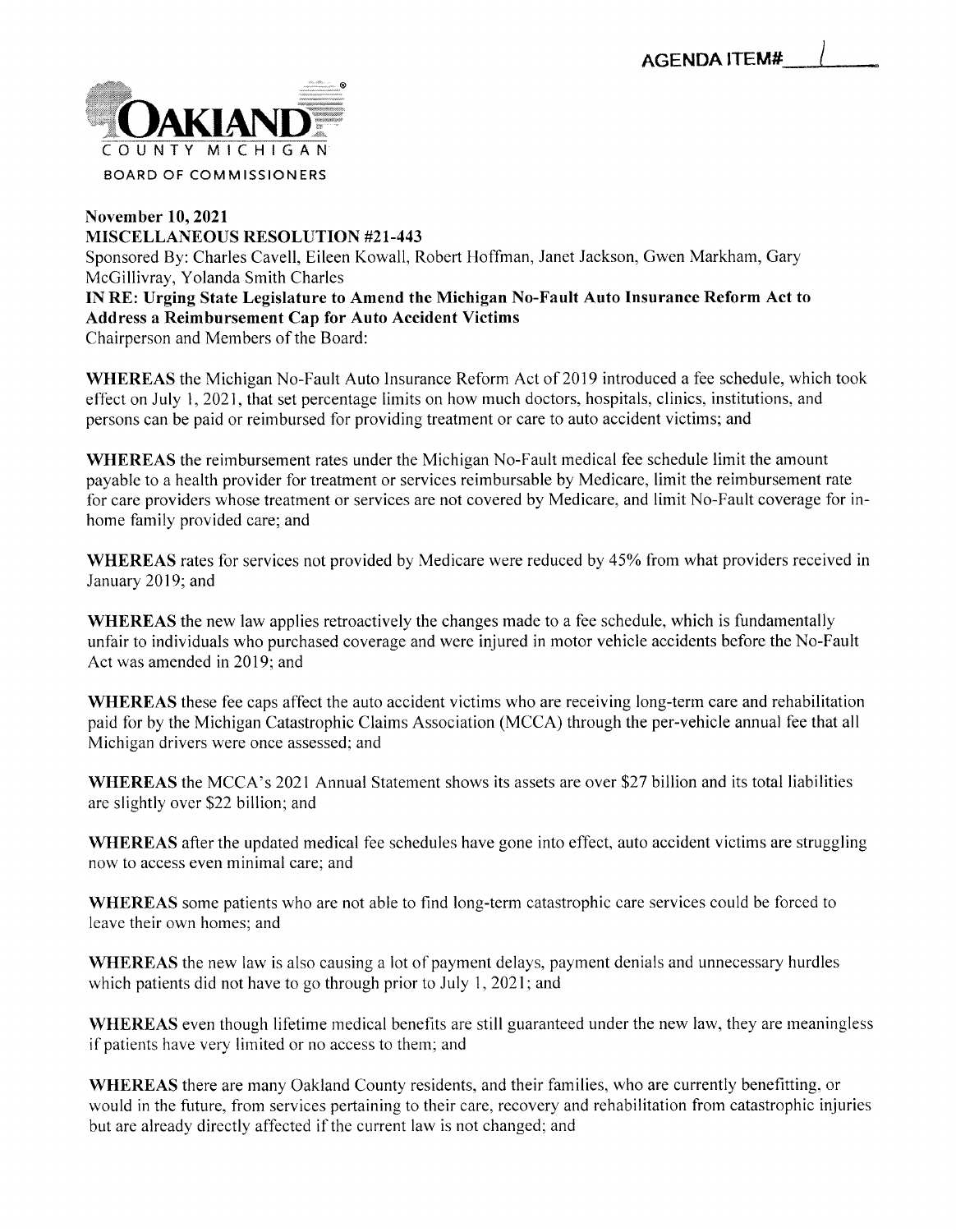<span id="page-3-0"></span>

#### *November 10, 2021 MISCELLANEOUS RESOLUTION #21-443* Sponsored By: Charles Cavell, Eileen Kowall, Robert Hoffman, Janet Jackson, Gwen Markham, Gary McGillivray, Yolanda Smith Charles *IN RE: Urging State Legislature to Amend the Michigan No-Fault Auto Insurance Reform Act to Address a Reimbursement Cap for Auto Accident Victims* Chairperson and Members of the Board:

*WHEREAS* the Michigan No-Fault Auto Insurance Reform Act of 2019 introduced a fee schedule, which took effect on July 1, 2021, that set percentage limits on how much doctors, hospitals, clinics, institutions, and persons can be paid or reimbursed for providing treatment or care to auto accident victims; and

*WHEREAS* the reimbursement rates under the Michigan No-Fault medical fee schedule limit the amount payable to a health provider for treatment or services reimbursable by Medicare, limit the reimbursement rate for care providers whose treatment or services are not covered by Medicare, and limit No-Fault coverage for inhome family provided care; and

*WHEREAS* rates for services not provided by Medicare were reduced by 45% from what providers received in January 2019; and

*WHEREAS* the new law applies retroactively the changes made to a fee schedule, which is fundamentally unfair to individuals who purchased coverage and were injured in motor vehicle accidents before the No-Fault Act was amended in 2019; and

*WHEREAS* these fee caps affect the auto accident victims who are receiving long-term care and rehabilitation paid for by the Michigan Catastrophic Claims Association (MCCA) through the per-vehicle annual fee that all Michigan drivers were once assessed; and

*WHEREAS* the MCCA's 2021 Annual Statement shows its assets are over \$27 billion and its total liabilities are slightly over \$22 billion; and

*WHEREAS* after the updated medical fee schedules have gone into effect, auto accident victims are struggling now to access even minimal care; and

*WHEREAS* some patients who are not able to find long-term catastrophic care services could be forced to leave their own homes; and

*WHEREAS* the new law is also causing a lot of payment delays, payment denials and unnecessary hurdles which patients did not have to go through prior to July 1, 2021; and

*WHEREAS* even though lifetime medical benefits are still guaranteed under the new law, they are meaningless if patients have very limited or no access to them; and

*WHEREAS* there are many Oakland County residents, and their families, who are currently benefitting, or would in the future, from services pertaining to their care, recovery and rehabilitation from catastrophic injuries but are already directly affected if the current law is not changed; and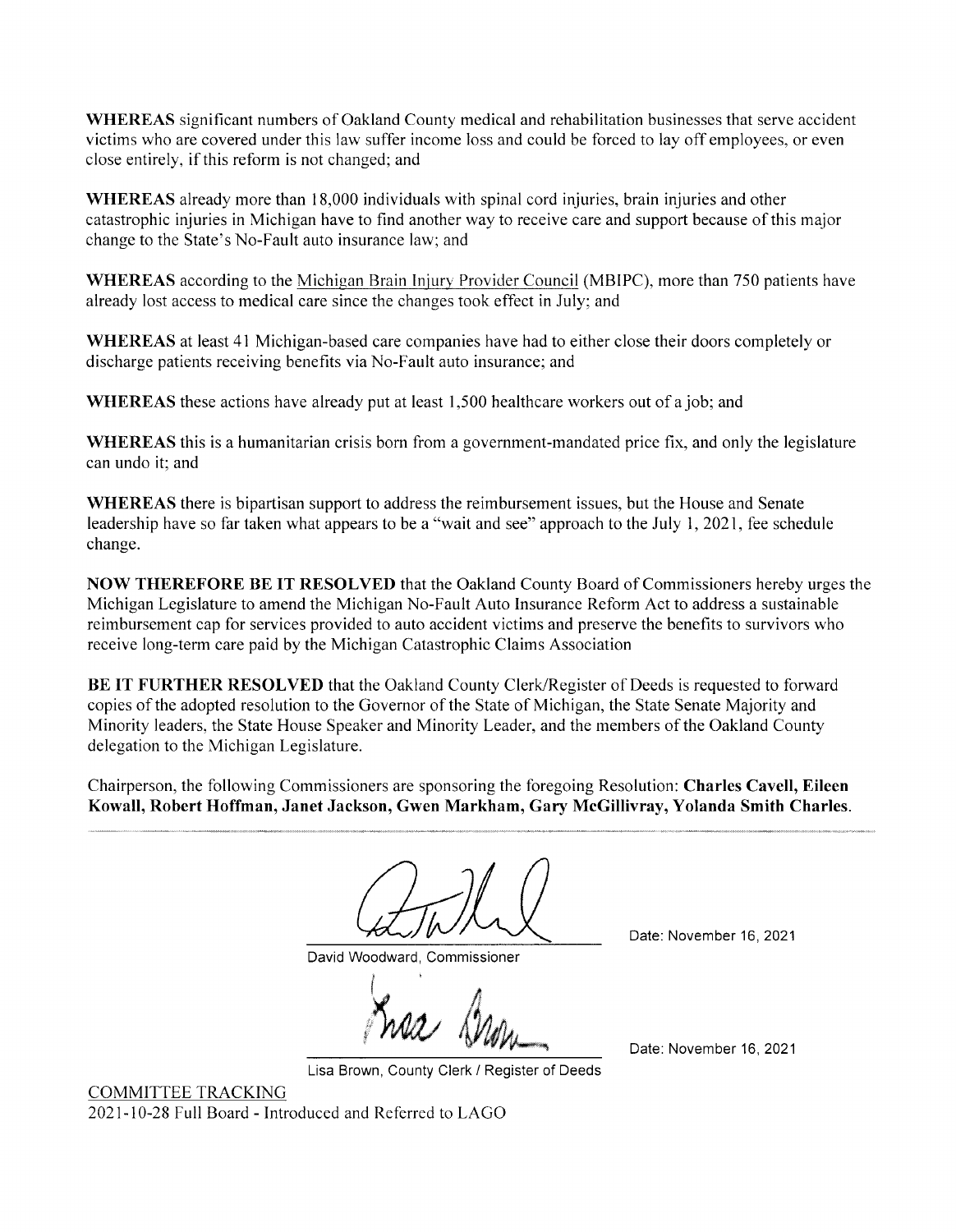*WHEREAS* significant numbers of Oakland County medical and rehabilitation businesses that serve accident victims who are covered under this law suffer income loss and could be forced to lay off employees, or even close entirely, if this reform is not changed; and

*WHEREAS* already more than 18,000 individuals with spinal cord injuries, brain injuries and other catastrophic injuries in Michigan have to find another way to receive care and support because ofthis major change to the State's No-Fault auto insurance law; and

*WHEREAS* according to the Michigan Brain Injury Provider Council (MBIPC), more than 750 patients have already lost access to medical care since the changes took effect in July; and

*WHEREAS* at least 41 Michigan-based care companies have had to either close their doors completely or discharge patients receiving benefits via No-Fault auto insurance; and

*WHEREAS* these actions have already put at least 1,500 healthcare workers out of a job; and

*WHEREAS* this is a humanitarian crisis born from a government-mandated price fix, and only the legislature can undo it; and

*WHEREAS* there is bipartisan support to address the reimbursement issues, but the House and Senate leadership have so far taken what appears to be a "wait and see" approach to the July 1, 2021, fee schedule change.

*NOW THEREFORE BE IT RESOLVED* that the Oakland County Board of Commissioners hereby urges the Michigan Legislature to amend the Michigan No-Fault Auto Insurance Reform Act to address a sustainable reimbursement cap for services provided to auto accident victims and preserve the benefits to survivors who receive long-term care paid by the Michigan Catastrophic Claims Association

*BE IT FURTHER RESOLVED* that the Oakland County Clerk/Register of Deeds is requested to forward copies of the adopted resolution to the Governor of the State of Michigan, the State Senate Majority and Minority leaders, the State House Speaker and Minority Leader, and the members of the Oakland County delegation to the Michigan Legislature.

Chairperson, the following Commissioners are sponsoring the foregoing Resolution: *Charles Cavell, Eileen Kowall, Robert Hoffman, Janet Jackson, Gwen Markham, Gary McGillivray, Yolanda Smith Charles.*

David Woodward, Commissioner

Date: November 16, 2021

Date: November 16, 2021

Lisa Brown, County Clerk / Register of Deeds

COMMITTEE TRACKING 2021-10-28 Full Board - Introduced and Referred to LAGO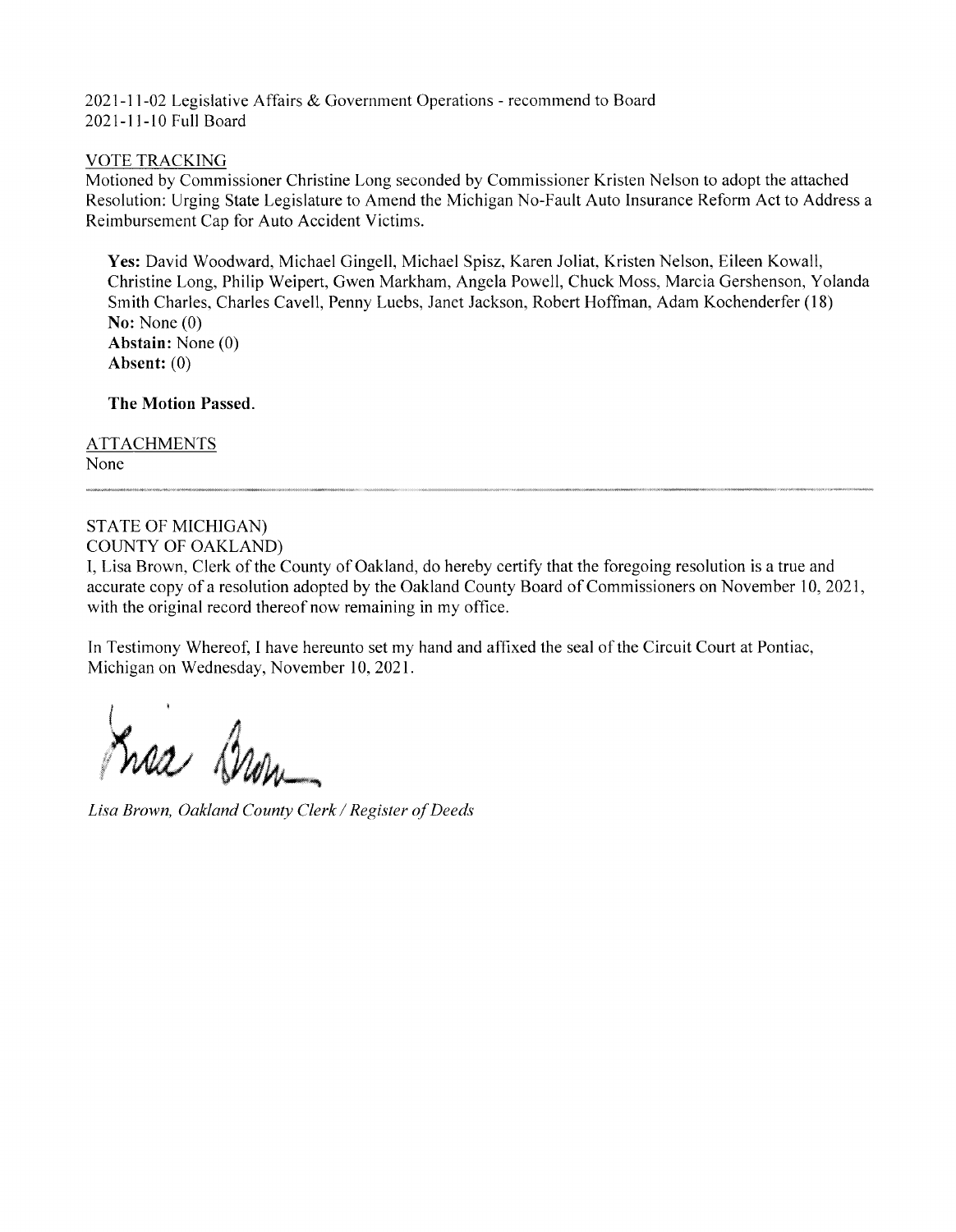2021-11-02 Legislative Affairs & Government Operations - recommend to Board 2021-11-10 Full Board

#### VOTE TRACKING

Motioned by Commissioner Christine Long seconded by Commissioner Kristen Nelson to adopt the attached Resolution: Urging State Legislature to Amend the Michigan No-Fault Auto Insurance Reform Act to Address a Reimbursement Cap for Auto Accident Victims.

Yes: David Woodward, Michael Gingell, Michael Spisz, Karen Joliat, Kristen Nelson, Eileen Kowall, Christine Long, Philip Weipert, Gwen Markham, Angela Powell, Chuck Moss, Marcia Gershenson, Yolanda Smith Charles, Charles Cavell, Penny Luebs, Janet Jackson, Robert Hoffman, Adam Kochenderfer (18) No: None (0) *Abstain:* None (0) *Absent: (0)*

*The Motion Passed.*

**ATTACHMENTS** None

#### STATE OF MICHIGAN) COUNTY OF OAKLAND)

I, Lisa Brown, Clerk of the County of Oakland, do hereby certify that the foregoing resolution is a true and accurate copy of a resolution adopted by the Oakland County Board of Commissioners on November 10, 2021, with the original record thereof now remaining in my office.

In Testimony Whereof, I have hereunto set my hand and affixed the seal ofthe Circuit Court at Pontiac, Michigan on Wednesday, November 10, 2021.

*I / 45*

Lisa Brown, Oakland County Clerk / Register of Deeds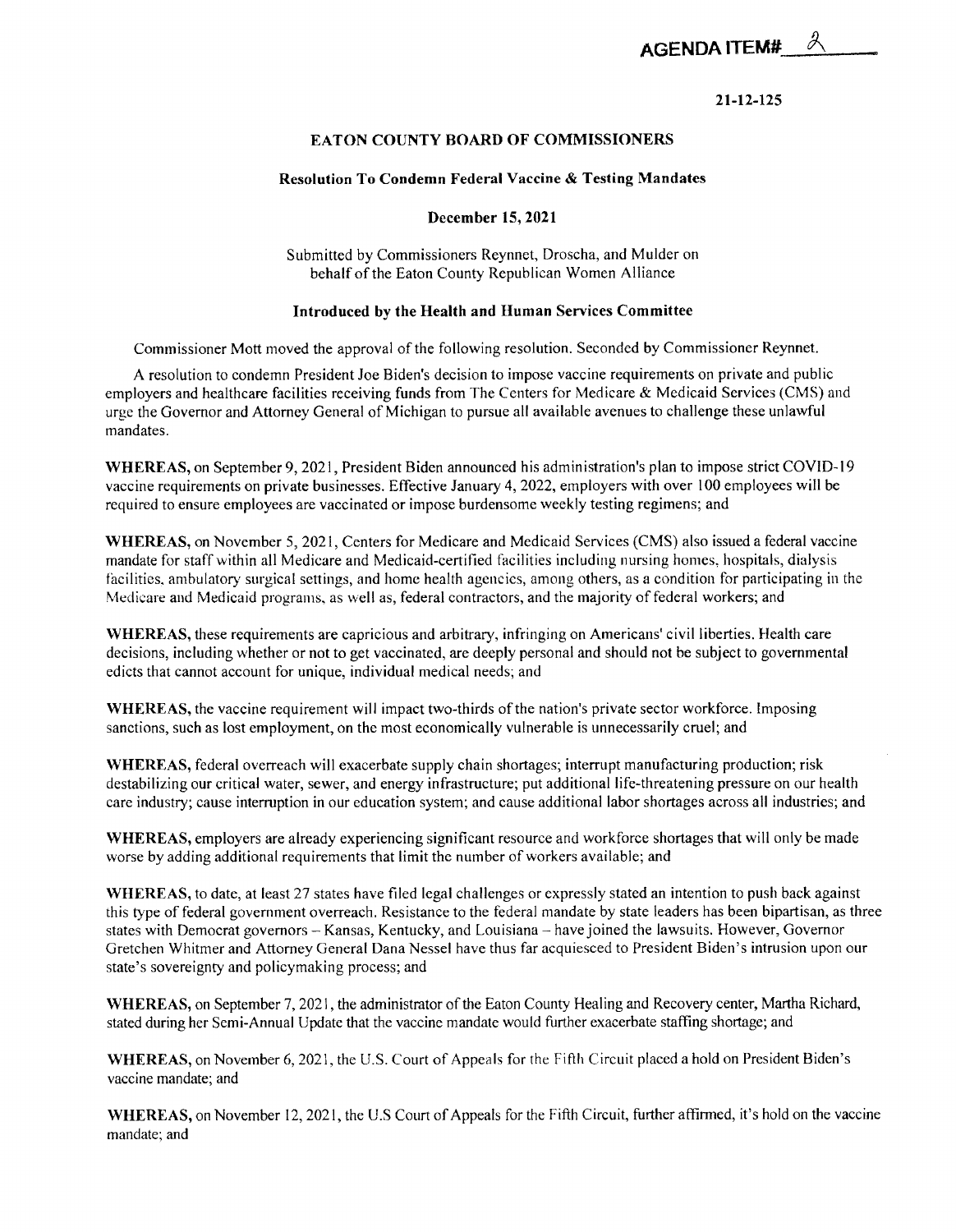

#### *21-12-125*

#### *EATON COUNTY BOARD OF COMMISSIONERS*

#### <span id="page-6-0"></span>*Resolution To Condemn Federal Vaccine & Testing Mandates*

#### *December 15,2021*

Submitted by Commissioners Reynnet, Droscha, and Mulder on behalf of the Eaton County Republican Women Alliance

#### *Introduced by the Health and Human Services Committee*

Commissioner Mott moved the approval of the following resolution. Seconded by Commissioner Reynnet.

A resolution to condemn President Joe Biden's decision to impose vaccine requirements on private and public employers and healthcare facilities receiving funds from The Centers for Medicare & Medicaid Services (CMS) and urge the Governor and Attorney General of Michigan to pursue all available avenues to challenge these unlawful mandates.

*WHEREAS,* on September 9,2021, President Biden announced his administration's plan to impose strict COVID-19 vaccine requirements on private businesses. Effective January 4, 2022, employers with over 100 employees will be required to ensure employees are vaccinated or impose burdensome weekly testing regimens; and

*WHEREAS,* on November 5, 2021, Centers for Medicare and Medicaid Services (CMS) also issued a federal vaccine mandate for staff within all Medicare and Medicaid-certified facilities including nursing homes, hospitals, dialysis facilities, ambulatory surgical settings, and home health agencies, among others, as a condition for participating in the Medicare and Medicaid programs, as well as, federal contractors, and the majority of federal workers; and

*WHEREAS,* these requirements are capricious and arbitrary, infringing on Americans' civil liberties. Health care decisions, including whether or not to get vaccinated, are deeply personal and should not be subject to governmental edicts that cannot account for unique, individual medical needs; and

WHEREAS, the vaccine requirement will impact two-thirds of the nation's private sector workforce. Imposing sanctions, such as lost employment, on the most economically vulnerable is unnecessarily cruel; and

*WHEREAS,* federal overreach will exacerbate supply chain shortages; interrupt manufacturing production; risk destabilizing our critical water, sewer, and energy infrastructure; put additional life-threatening pressure on our health care industry; cause interruption in our education system; and cause additional labor shortages across all industries; and

*WHEREAS,* employers are already experiencing significant resource and workforce shortages that will only be made worse by adding additional requirements that limit the number of workers available; and

*WHEREAS,* to date, at least 27 states have filed legal challenges or expressly stated an intention to push back against this type of federal government overreach. Resistance to the federal mandate by state leaders has been bipartisan, as three states with Democrat governors - Kansas, Kentucky, and Louisiana - have joined the lawsuits. However, Governor Gretchen Whitmer and Attorney General Dana Nessel have thus far acquiesced to President Biden's intrusion upon our state's sovereignty and policymaking process; and

*WHEREAS,* on September 7,2021, the administrator of the Eaton County Healing and Recovery center, Martha Richard, stated during her Semi-Annual Update that the vaccine mandate would further exacerbate staffing shortage; and

*WHEREAS,* on November 6, 2021, the U.S. Court of Appeals for the Fifth Circuit placed a hold on President Biden's vaccine mandate; and

WHEREAS, on November 12, 2021, the U.S Court of Appeals for the Fifth Circuit, further affirmed, it's hold on the vaccine mandate; and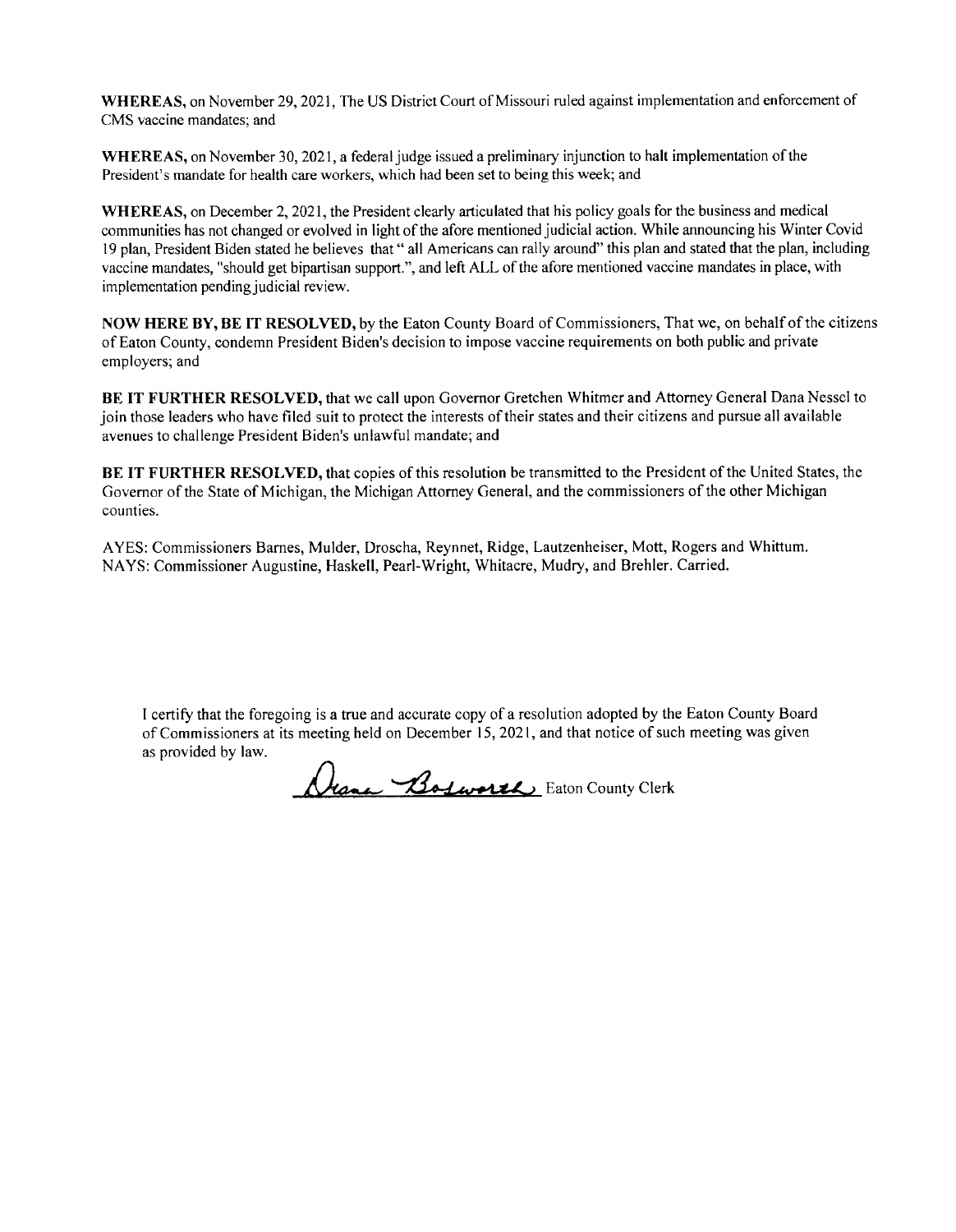*WHEREAS,* on November 29,2021, The US District Court of Missouri ruled against implementation and enforcement of CMS vaccine mandates; and

WHEREAS, on November 30, 2021, a federal judge issued a preliminary injunction to halt implementation of the President's mandate for health care workers, which had been set to being this week; and

WHEREAS, on December 2, 2021, the President clearly articulated that his policy goals for the business and medical communities has not changed or evolved in light of the afore mentioned judicial action. While announcing his Winter Covid 19 plan, President Biden stated he believes that " all Americans can rally around" this plan and stated that the plan, including vaccine mandates, "should get bipartisan support.", and left ALL of the afore mentioned vaccine mandates in place, with implementation pending judicial review.

*NOW HERE BY, BE IT RESOLVED,* by the Eaton County Board of Commissioners, That we, on behalf ofthe citizens of Eaton County, condemn President Biden's decision to impose vaccine requirements on both public and private employers; and

*BE IT FURTHER RESOLVED,* that we call upon Governor Gretchen Whitmer and Attorney General Dana Nessel to join those leaders who have filed suit to protect the interests of their states and their citizens and pursue all available avenues to challenge President Biden's unlawful mandate; and

**BE** IT FURTHER RESOLVED, that copies of this resolution be transmitted to the President of the United States, the Governor of the State of Michigan, the Michigan Attorney General, and the commissioners of the other Michigan counties.

AYES: Commissioners Barnes, Mulder, Droscha, Reynnet, Ridge, Lautzenheiser, Mott, Rogers and Whittum. NAYS: Commissioner Augustine, Haskell, Pearl-Wright, Whitacre, Mudry, and Brehler. Carried.

I certify that the foregoing is a true and accurate copy of a resolution adopted by the Eaton County Board of Commissioners at its meeting held on December 15, 2021, and that notice of such meeting was given as provided by law.

*/Lhq~u~< y~&A-L\*s+4JtJLj* Eaton County Clerk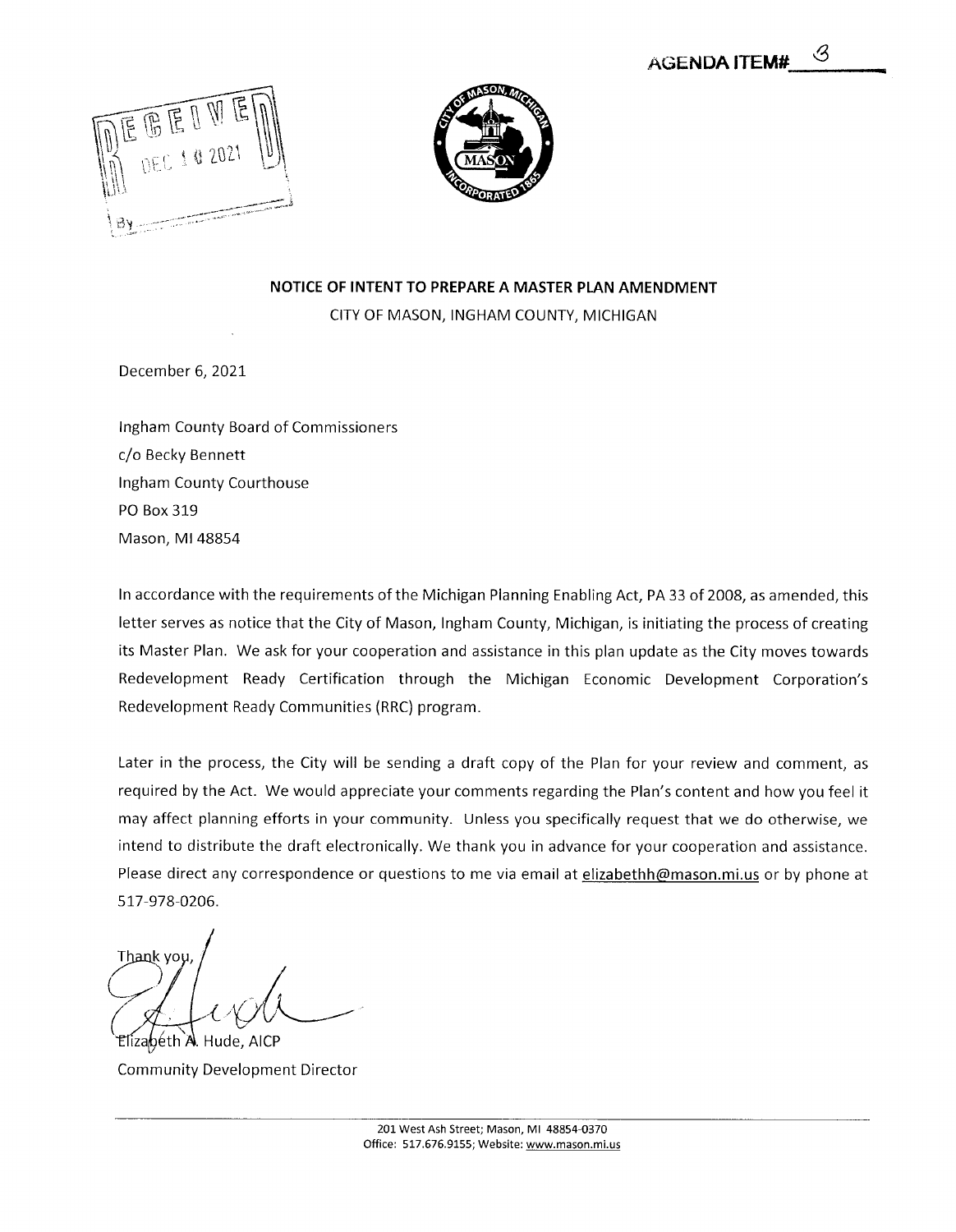<span id="page-8-0"></span>



#### *NOTICE OF INTENT TO PREPARE A MASTER PLAN AMENDMENT*

CITYOF MASON, INGHAM COUNTY, MICHIGAN

December 6, 2021

Ingham County Board of Commissioners c/o Becky Bennett Ingham County Courthouse PO Box 319 Mason, Ml 48854

In accordance with the requirements of the Michigan Planning Enabling Act, PA33 of 2008, as amended, this letter serves as notice that the City of Mason, Ingham County, Michigan, is initiating the process of creating its Master Plan. We ask for your cooperation and assistance in this plan update as the City moves towards Redevelopment Ready Certification through the Michigan Economic Development Corporation's Redevelopment Ready Communities (RRC) program.

Later in the process, the City will be sending a draft copy of the Plan for your review and comment, as required by the Act. We would appreciate your comments regarding the Plan's content and how you feel it may affect planning efforts in your community. Unless you specifically request that we do otherwise, we intend to distribute the draft electronically. We thank you in advance for your cooperation and assistance. Please direct any correspondence or questions to me via email at elizabethh@mason.mi.us or by phone at 517-978-0206.

Thank yo Elizabéth A. Hude, AICP

Community Development Director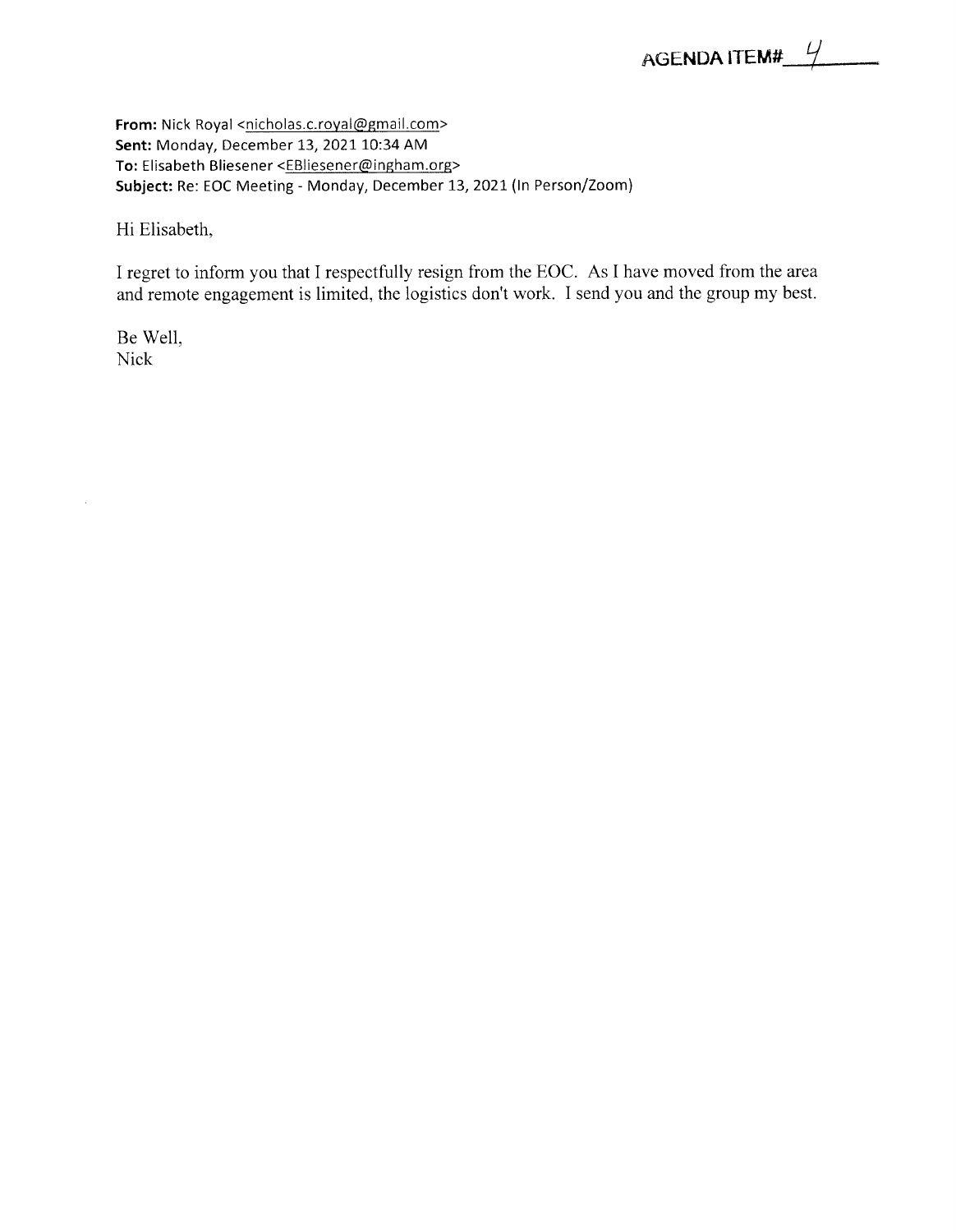<span id="page-9-0"></span>From: Nick Royal <nicholas.c.royal@gmail.com> *Sent:* Monday, December 13, 2021 10:34 AM To: Elisabeth Bliesener <EBIiesener@ingham.org> *Subject:* Re: EOC Meeting - Monday, December 13, 2021 (In Person/Zoom)

Hi Elisabeth,

I regret to inform you that I respectfully resign from the EOC. As I have moved from the area and remote engagement is limited, the logistics don't work. I send you and the group my best.

Be Well, Nick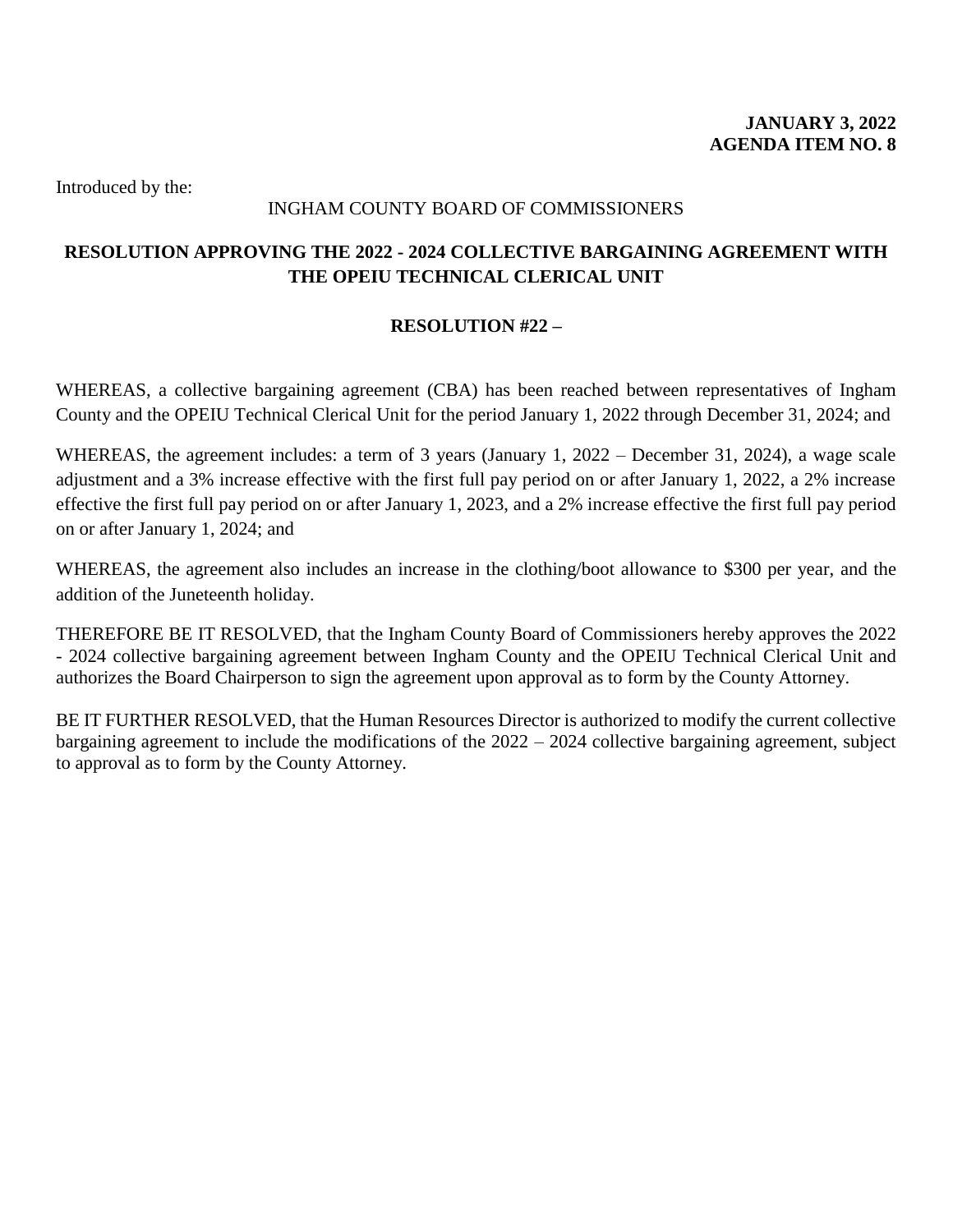## INGHAM COUNTY BOARD OF COMMISSIONERS

## <span id="page-10-0"></span>**RESOLUTION APPROVING THE 2022 - 2024 COLLECTIVE BARGAINING AGREEMENT WITH THE OPEIU TECHNICAL CLERICAL UNIT**

## **RESOLUTION #22 –**

WHEREAS, a collective bargaining agreement (CBA) has been reached between representatives of Ingham County and the OPEIU Technical Clerical Unit for the period January 1, 2022 through December 31, 2024; and

WHEREAS, the agreement includes: a term of 3 years (January 1, 2022 – December 31, 2024), a wage scale adjustment and a 3% increase effective with the first full pay period on or after January 1, 2022, a 2% increase effective the first full pay period on or after January 1, 2023, and a 2% increase effective the first full pay period on or after January 1, 2024; and

WHEREAS, the agreement also includes an increase in the clothing/boot allowance to \$300 per year, and the addition of the Juneteenth holiday.

THEREFORE BE IT RESOLVED, that the Ingham County Board of Commissioners hereby approves the 2022 - 2024 collective bargaining agreement between Ingham County and the OPEIU Technical Clerical Unit and authorizes the Board Chairperson to sign the agreement upon approval as to form by the County Attorney.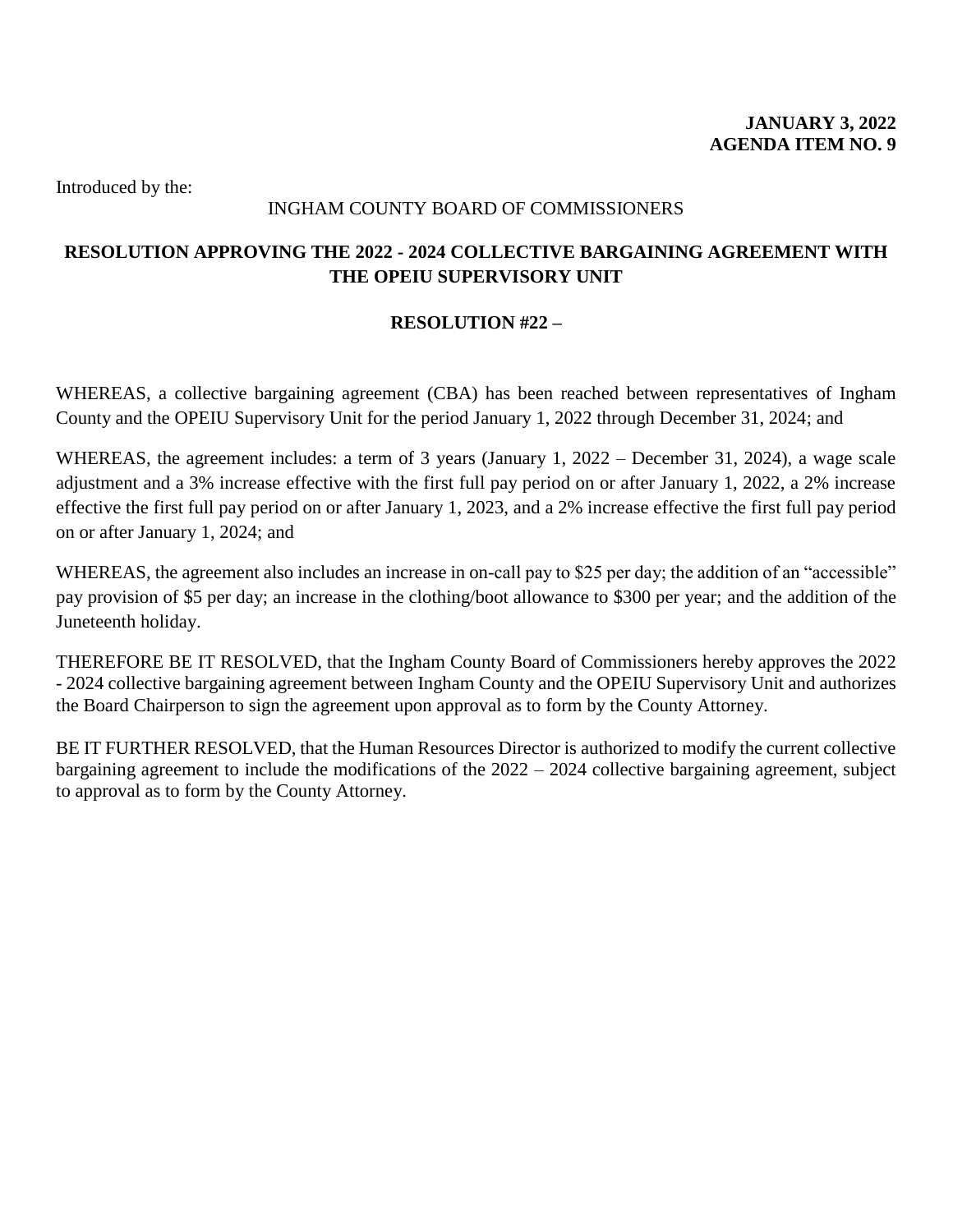## INGHAM COUNTY BOARD OF COMMISSIONERS

## <span id="page-11-0"></span>**RESOLUTION APPROVING THE 2022 - 2024 COLLECTIVE BARGAINING AGREEMENT WITH THE OPEIU SUPERVISORY UNIT**

## **RESOLUTION #22 –**

WHEREAS, a collective bargaining agreement (CBA) has been reached between representatives of Ingham County and the OPEIU Supervisory Unit for the period January 1, 2022 through December 31, 2024; and

WHEREAS, the agreement includes: a term of 3 years (January 1, 2022 – December 31, 2024), a wage scale adjustment and a 3% increase effective with the first full pay period on or after January 1, 2022, a 2% increase effective the first full pay period on or after January 1, 2023, and a 2% increase effective the first full pay period on or after January 1, 2024; and

WHEREAS, the agreement also includes an increase in on-call pay to \$25 per day; the addition of an "accessible" pay provision of \$5 per day; an increase in the clothing/boot allowance to \$300 per year; and the addition of the Juneteenth holiday.

THEREFORE BE IT RESOLVED, that the Ingham County Board of Commissioners hereby approves the 2022 - 2024 collective bargaining agreement between Ingham County and the OPEIU Supervisory Unit and authorizes the Board Chairperson to sign the agreement upon approval as to form by the County Attorney.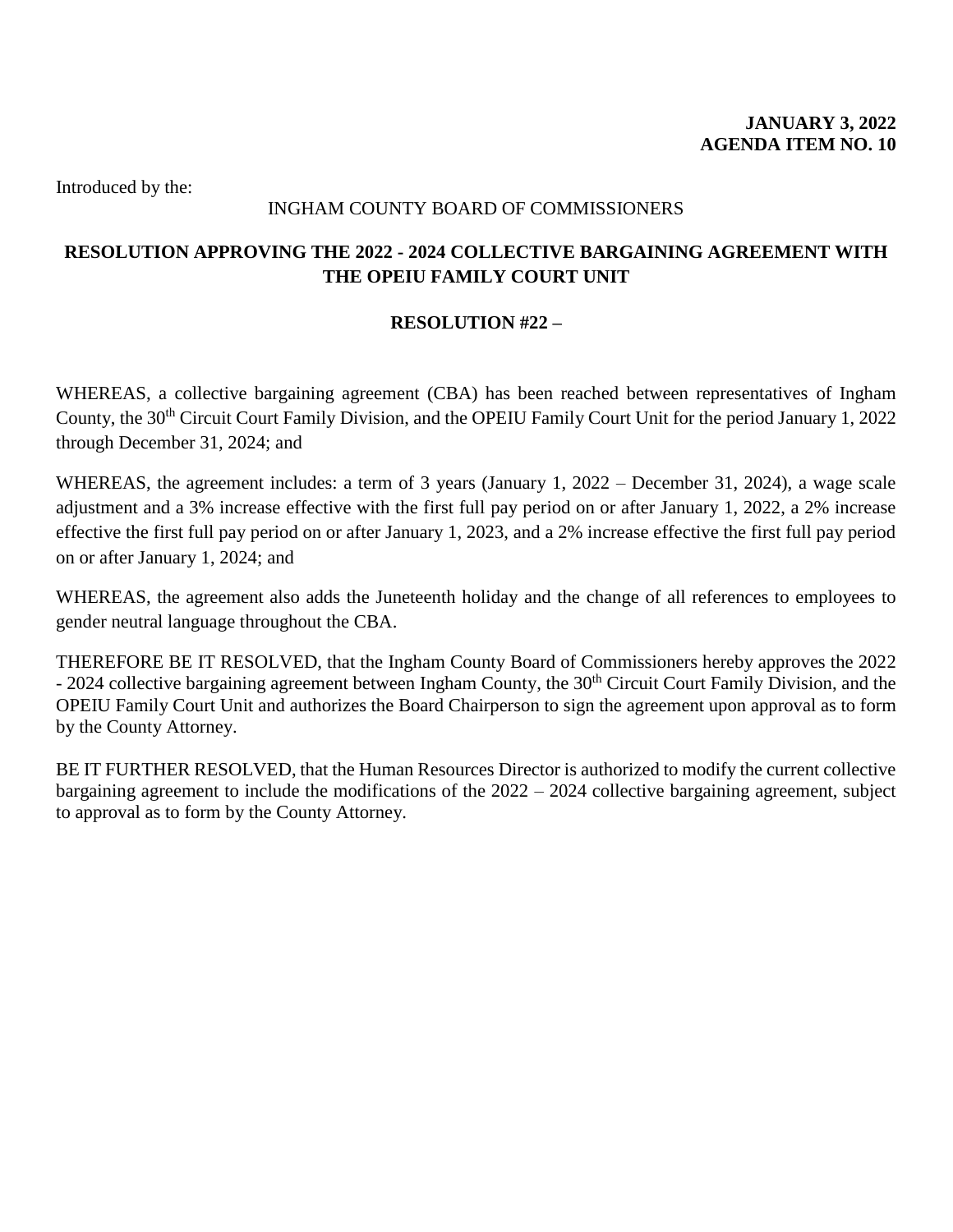## INGHAM COUNTY BOARD OF COMMISSIONERS

## <span id="page-12-0"></span>**RESOLUTION APPROVING THE 2022 - 2024 COLLECTIVE BARGAINING AGREEMENT WITH THE OPEIU FAMILY COURT UNIT**

## **RESOLUTION #22 –**

WHEREAS, a collective bargaining agreement (CBA) has been reached between representatives of Ingham County, the 30<sup>th</sup> Circuit Court Family Division, and the OPEIU Family Court Unit for the period January 1, 2022 through December 31, 2024; and

WHEREAS, the agreement includes: a term of 3 years (January 1, 2022 – December 31, 2024), a wage scale adjustment and a 3% increase effective with the first full pay period on or after January 1, 2022, a 2% increase effective the first full pay period on or after January 1, 2023, and a 2% increase effective the first full pay period on or after January 1, 2024; and

WHEREAS, the agreement also adds the Juneteenth holiday and the change of all references to employees to gender neutral language throughout the CBA.

THEREFORE BE IT RESOLVED, that the Ingham County Board of Commissioners hereby approves the 2022 - 2024 collective bargaining agreement between Ingham County, the 30<sup>th</sup> Circuit Court Family Division, and the OPEIU Family Court Unit and authorizes the Board Chairperson to sign the agreement upon approval as to form by the County Attorney.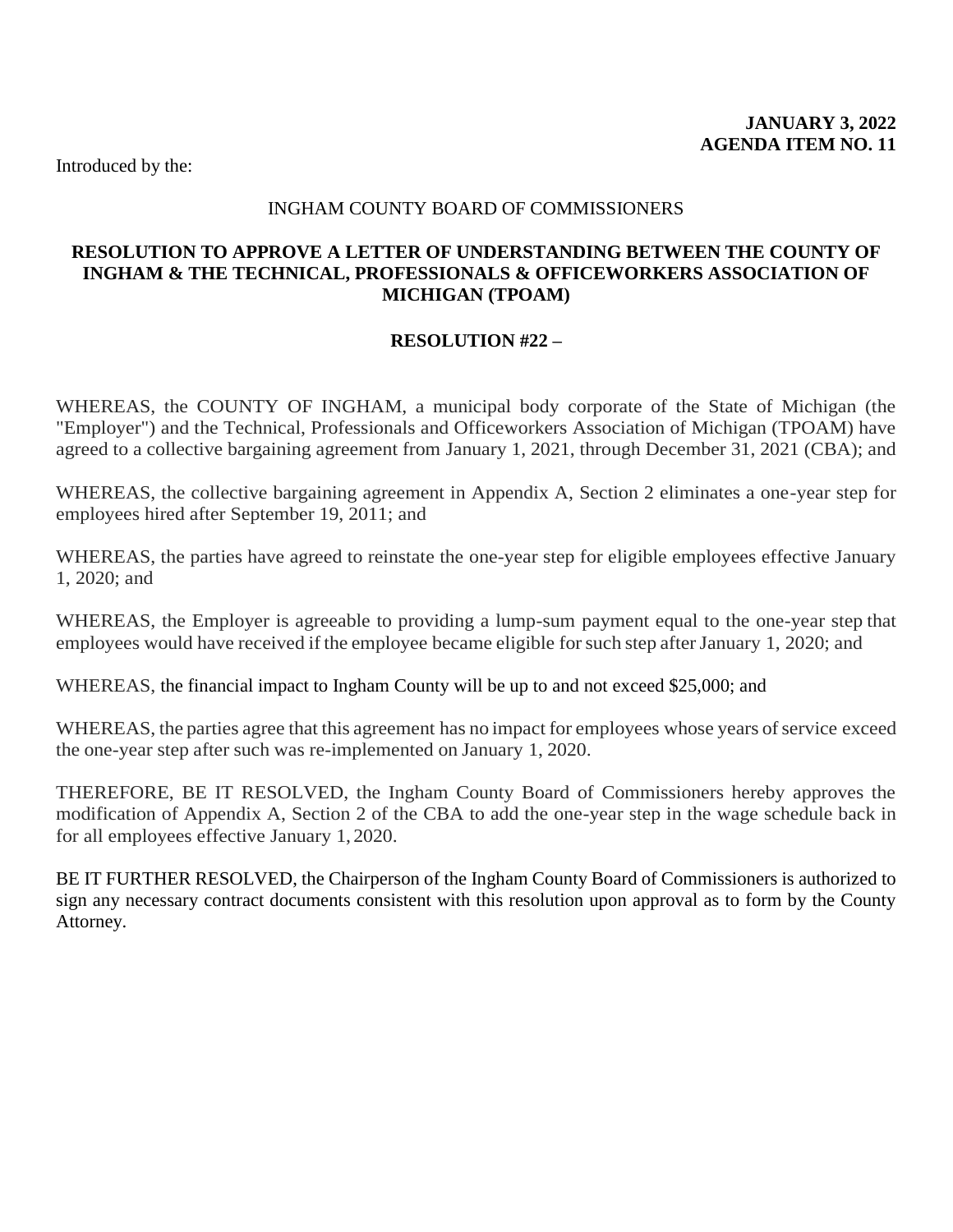## INGHAM COUNTY BOARD OF COMMISSIONERS

## <span id="page-13-0"></span>**RESOLUTION TO APPROVE A LETTER OF UNDERSTANDING BETWEEN THE COUNTY OF INGHAM & THE TECHNICAL, PROFESSIONALS & OFFICEWORKERS ASSOCIATION OF MICHIGAN (TPOAM)**

## **RESOLUTION #22 –**

WHEREAS, the COUNTY OF INGHAM, a municipal body corporate of the State of Michigan (the "Employer") and the Technical, Professionals and Officeworkers Association of Michigan (TPOAM) have agreed to a collective bargaining agreement from January 1, 2021, through December 31, 2021 (CBA); and

WHEREAS, the collective bargaining agreement in Appendix A, Section 2 eliminates a one-year step for employees hired after September 19, 2011; and

WHEREAS, the parties have agreed to reinstate the one-year step for eligible employees effective January 1, 2020; and

WHEREAS, the Employer is agreeable to providing a lump-sum payment equal to the one-year step that employees would have received if the employee became eligible for such step after January 1, 2020; and

WHEREAS, the financial impact to Ingham County will be up to and not exceed \$25,000; and

WHEREAS, the parties agree that this agreement has no impact for employees whose years of service exceed the one-year step after such was re-implemented on January 1, 2020.

THEREFORE, BE IT RESOLVED, the Ingham County Board of Commissioners hereby approves the modification of Appendix A, Section 2 of the CBA to add the one-year step in the wage schedule back in for all employees effective January 1, 2020.

BE IT FURTHER RESOLVED, the Chairperson of the Ingham County Board of Commissioners is authorized to sign any necessary contract documents consistent with this resolution upon approval as to form by the County Attorney.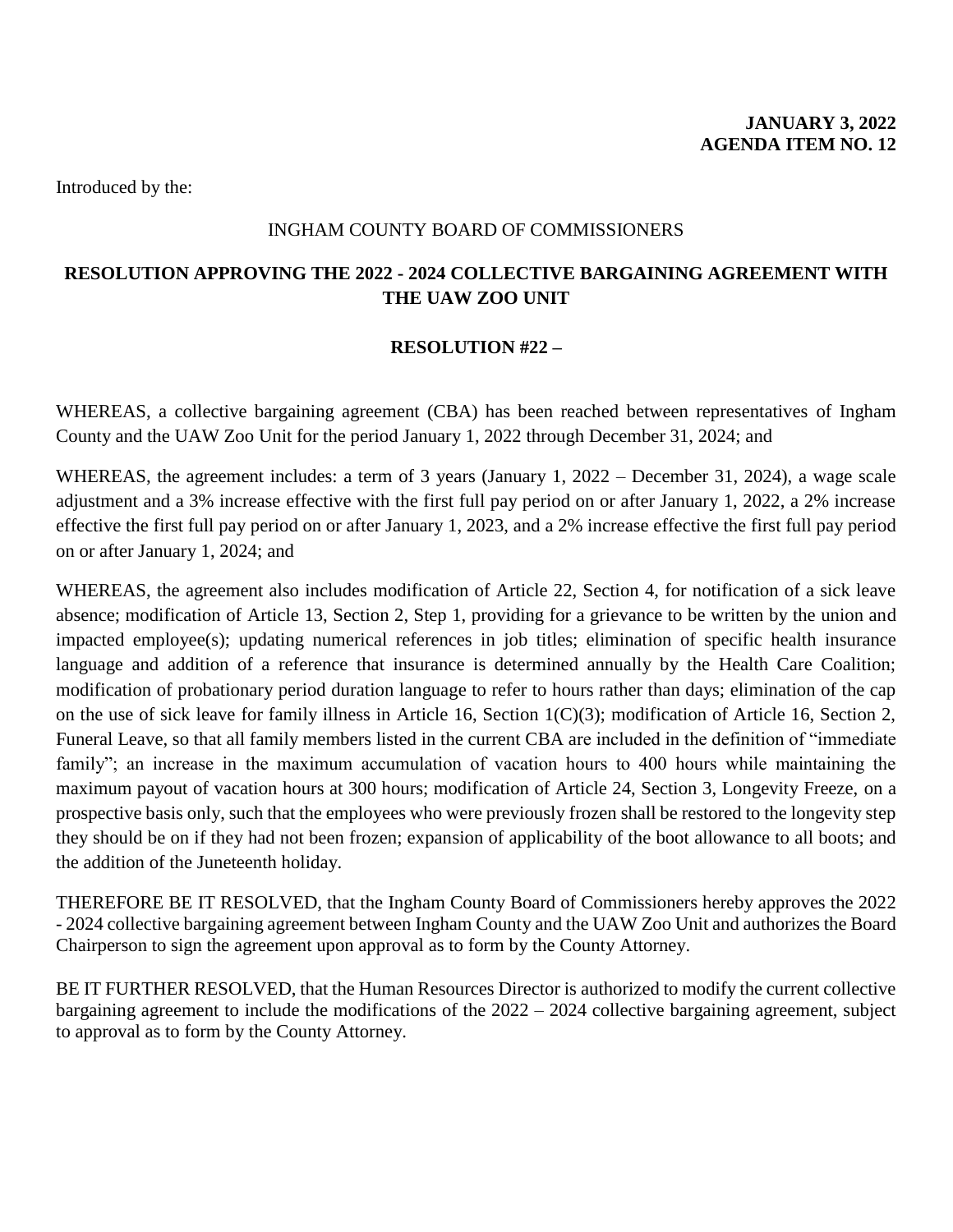## INGHAM COUNTY BOARD OF COMMISSIONERS

## <span id="page-14-0"></span>**RESOLUTION APPROVING THE 2022 - 2024 COLLECTIVE BARGAINING AGREEMENT WITH THE UAW ZOO UNIT**

## **RESOLUTION #22 –**

WHEREAS, a collective bargaining agreement (CBA) has been reached between representatives of Ingham County and the UAW Zoo Unit for the period January 1, 2022 through December 31, 2024; and

WHEREAS, the agreement includes: a term of 3 years (January 1, 2022 – December 31, 2024), a wage scale adjustment and a 3% increase effective with the first full pay period on or after January 1, 2022, a 2% increase effective the first full pay period on or after January 1, 2023, and a 2% increase effective the first full pay period on or after January 1, 2024; and

WHEREAS, the agreement also includes modification of Article 22, Section 4, for notification of a sick leave absence; modification of Article 13, Section 2, Step 1, providing for a grievance to be written by the union and impacted employee(s); updating numerical references in job titles; elimination of specific health insurance language and addition of a reference that insurance is determined annually by the Health Care Coalition; modification of probationary period duration language to refer to hours rather than days; elimination of the cap on the use of sick leave for family illness in Article 16, Section 1(C)(3); modification of Article 16, Section 2, Funeral Leave, so that all family members listed in the current CBA are included in the definition of "immediate family"; an increase in the maximum accumulation of vacation hours to 400 hours while maintaining the maximum payout of vacation hours at 300 hours; modification of Article 24, Section 3, Longevity Freeze, on a prospective basis only, such that the employees who were previously frozen shall be restored to the longevity step they should be on if they had not been frozen; expansion of applicability of the boot allowance to all boots; and the addition of the Juneteenth holiday.

THEREFORE BE IT RESOLVED, that the Ingham County Board of Commissioners hereby approves the 2022 - 2024 collective bargaining agreement between Ingham County and the UAW Zoo Unit and authorizes the Board Chairperson to sign the agreement upon approval as to form by the County Attorney.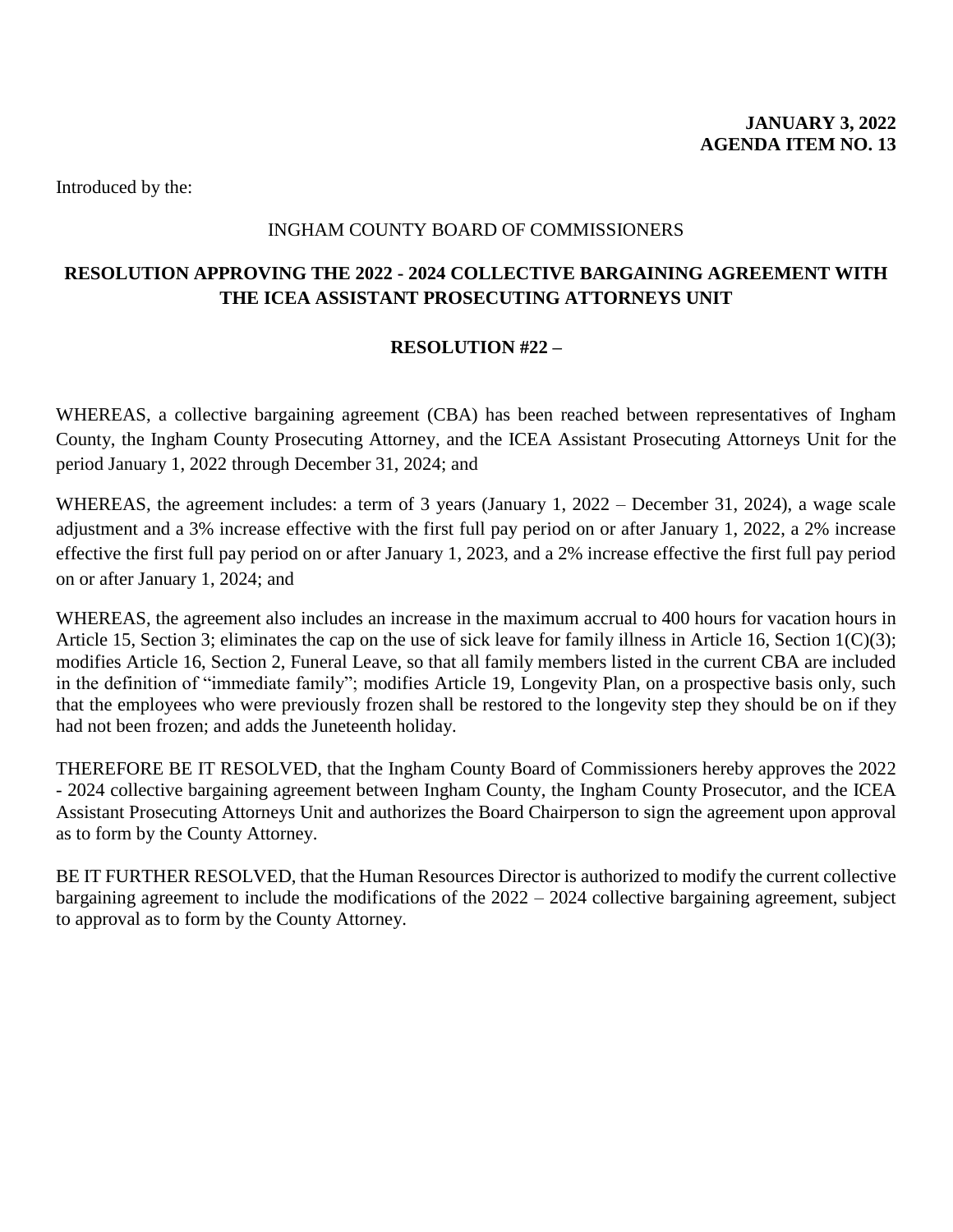## INGHAM COUNTY BOARD OF COMMISSIONERS

## <span id="page-15-0"></span>**RESOLUTION APPROVING THE 2022 - 2024 COLLECTIVE BARGAINING AGREEMENT WITH THE ICEA ASSISTANT PROSECUTING ATTORNEYS UNIT**

## **RESOLUTION #22 –**

WHEREAS, a collective bargaining agreement (CBA) has been reached between representatives of Ingham County, the Ingham County Prosecuting Attorney, and the ICEA Assistant Prosecuting Attorneys Unit for the period January 1, 2022 through December 31, 2024; and

WHEREAS, the agreement includes: a term of 3 years (January 1, 2022 – December 31, 2024), a wage scale adjustment and a 3% increase effective with the first full pay period on or after January 1, 2022, a 2% increase effective the first full pay period on or after January 1, 2023, and a 2% increase effective the first full pay period on or after January 1, 2024; and

WHEREAS, the agreement also includes an increase in the maximum accrual to 400 hours for vacation hours in Article 15, Section 3; eliminates the cap on the use of sick leave for family illness in Article 16, Section 1(C)(3); modifies Article 16, Section 2, Funeral Leave, so that all family members listed in the current CBA are included in the definition of "immediate family"; modifies Article 19, Longevity Plan, on a prospective basis only, such that the employees who were previously frozen shall be restored to the longevity step they should be on if they had not been frozen; and adds the Juneteenth holiday.

THEREFORE BE IT RESOLVED, that the Ingham County Board of Commissioners hereby approves the 2022 - 2024 collective bargaining agreement between Ingham County, the Ingham County Prosecutor, and the ICEA Assistant Prosecuting Attorneys Unit and authorizes the Board Chairperson to sign the agreement upon approval as to form by the County Attorney.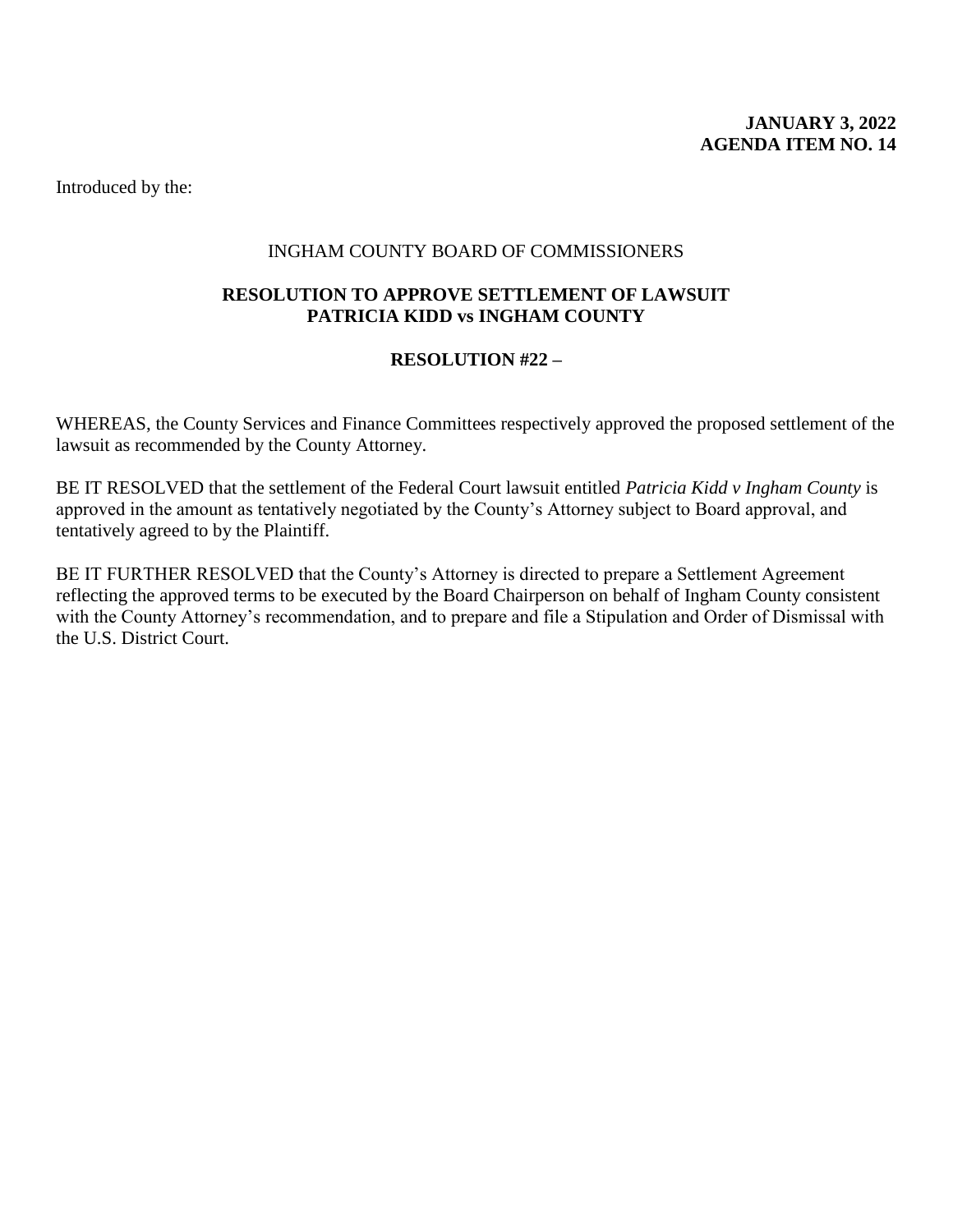## <span id="page-16-0"></span>INGHAM COUNTY BOARD OF COMMISSIONERS

## **RESOLUTION TO APPROVE SETTLEMENT OF LAWSUIT PATRICIA KIDD vs INGHAM COUNTY**

## **RESOLUTION #22 –**

WHEREAS, the County Services and Finance Committees respectively approved the proposed settlement of the lawsuit as recommended by the County Attorney.

BE IT RESOLVED that the settlement of the Federal Court lawsuit entitled *Patricia Kidd v Ingham County* is approved in the amount as tentatively negotiated by the County's Attorney subject to Board approval, and tentatively agreed to by the Plaintiff.

BE IT FURTHER RESOLVED that the County's Attorney is directed to prepare a Settlement Agreement reflecting the approved terms to be executed by the Board Chairperson on behalf of Ingham County consistent with the County Attorney's recommendation, and to prepare and file a Stipulation and Order of Dismissal with the U.S. District Court.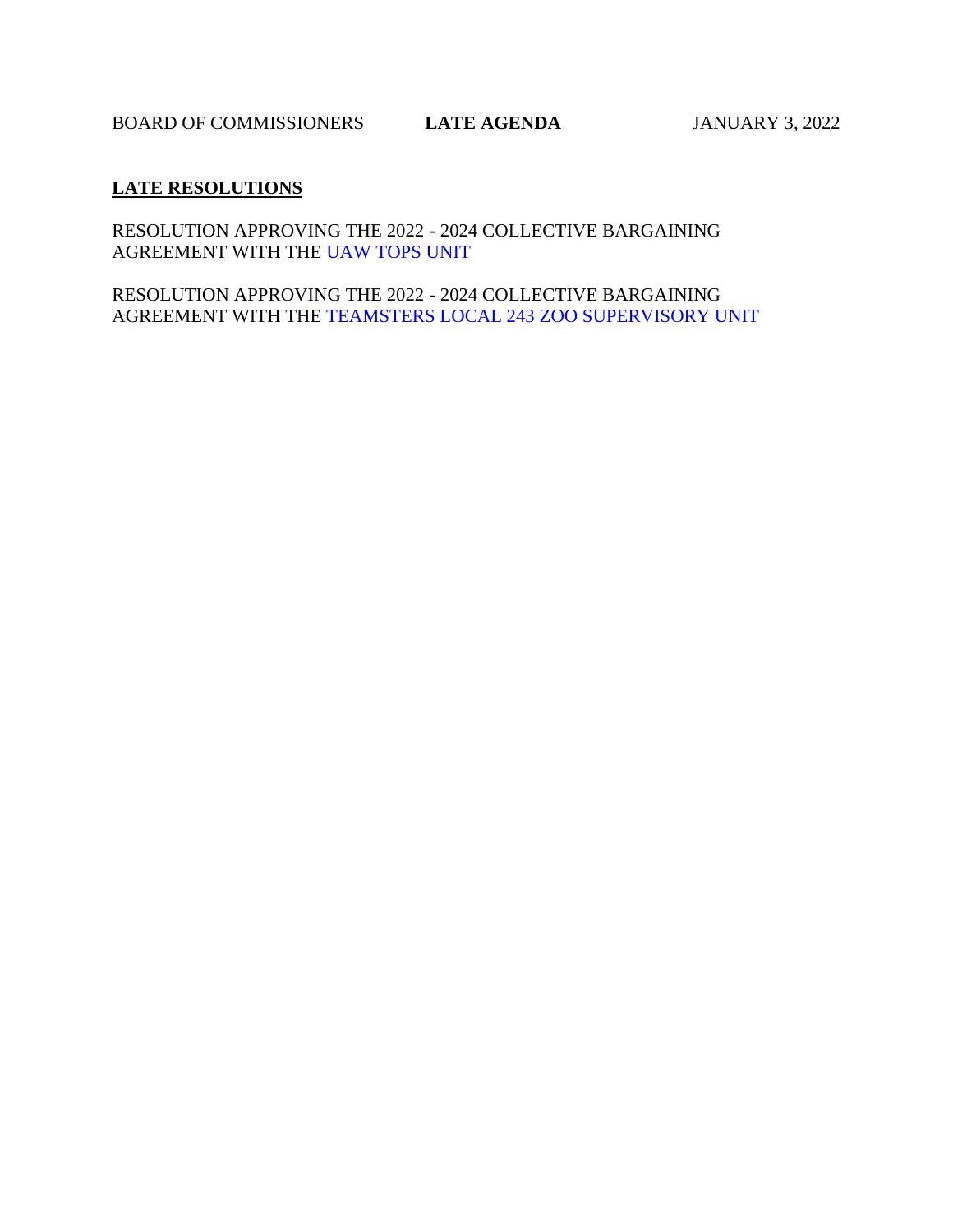## <span id="page-17-0"></span>**LATE RESOLUTIONS**

RESOLUTION APPRO[VING THE 2022 - 2024 COLLECT](#page-18-0)IVE BARGAINING AGREEMENT WITH THE UAW TOPS UNIT

RESOLUTION APPROVING THE 2022 - 2024 COLLECTIVE BARGAINING AGREEMENT WITH TH[E TEAMSTERS LOCAL 243 ZOO SUPERVISORY UNIT](#page-19-0)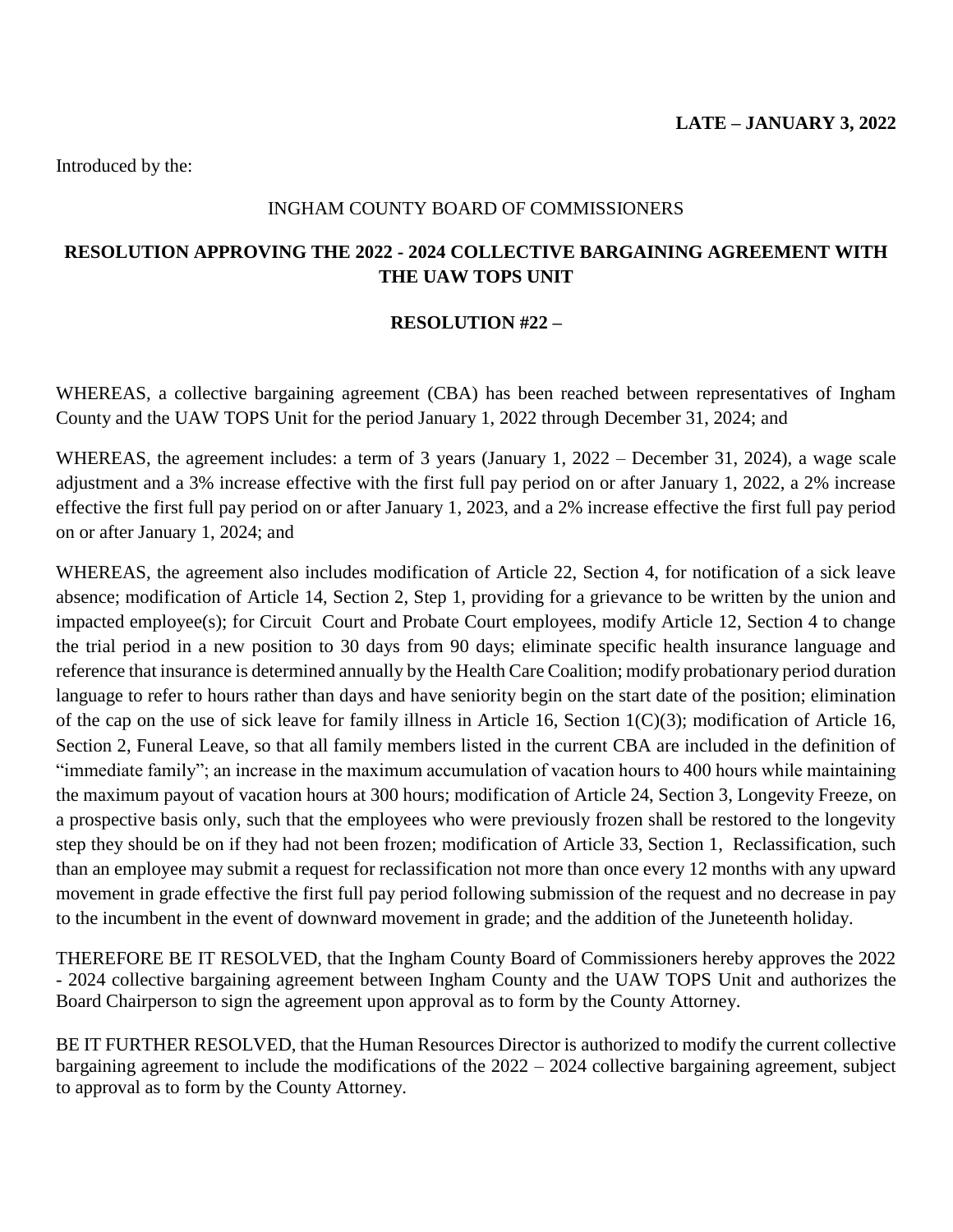### INGHAM COUNTY BOARD OF COMMISSIONERS

## <span id="page-18-0"></span>**RESOLUTION APPROVING THE 2022 - 2024 COLLECTIVE BARGAINING AGREEMENT WITH THE UAW TOPS UNIT**

## **RESOLUTION #22 –**

WHEREAS, a collective bargaining agreement (CBA) has been reached between representatives of Ingham County and the UAW TOPS Unit for the period January 1, 2022 through December 31, 2024; and

WHEREAS, the agreement includes: a term of 3 years (January 1, 2022 – December 31, 2024), a wage scale adjustment and a 3% increase effective with the first full pay period on or after January 1, 2022, a 2% increase effective the first full pay period on or after January 1, 2023, and a 2% increase effective the first full pay period on or after January 1, 2024; and

WHEREAS, the agreement also includes modification of Article 22, Section 4, for notification of a sick leave absence; modification of Article 14, Section 2, Step 1, providing for a grievance to be written by the union and impacted employee(s); for Circuit Court and Probate Court employees, modify Article 12, Section 4 to change the trial period in a new position to 30 days from 90 days; eliminate specific health insurance language and reference that insurance is determined annually by the Health Care Coalition; modify probationary period duration language to refer to hours rather than days and have seniority begin on the start date of the position; elimination of the cap on the use of sick leave for family illness in Article 16, Section  $1(C)(3)$ ; modification of Article 16, Section 2, Funeral Leave, so that all family members listed in the current CBA are included in the definition of "immediate family"; an increase in the maximum accumulation of vacation hours to 400 hours while maintaining the maximum payout of vacation hours at 300 hours; modification of Article 24, Section 3, Longevity Freeze, on a prospective basis only, such that the employees who were previously frozen shall be restored to the longevity step they should be on if they had not been frozen; modification of Article 33, Section 1, Reclassification, such than an employee may submit a request for reclassification not more than once every 12 months with any upward movement in grade effective the first full pay period following submission of the request and no decrease in pay to the incumbent in the event of downward movement in grade; and the addition of the Juneteenth holiday.

THEREFORE BE IT RESOLVED, that the Ingham County Board of Commissioners hereby approves the 2022 - 2024 collective bargaining agreement between Ingham County and the UAW TOPS Unit and authorizes the Board Chairperson to sign the agreement upon approval as to form by the County Attorney.